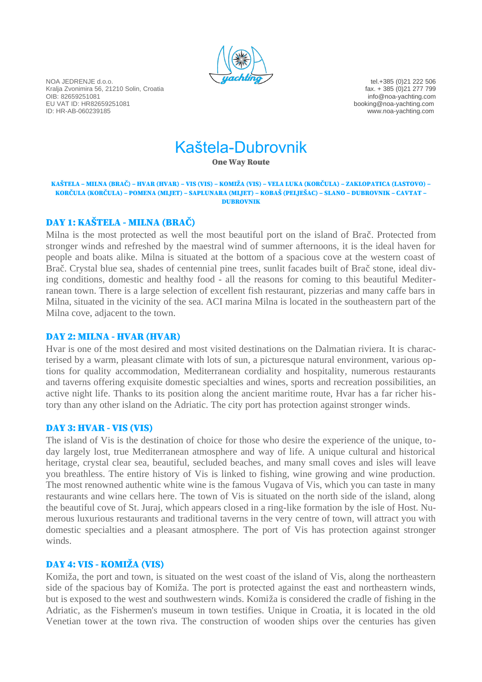

NOA JEDRENJE d.o.o.<br>Kralia Zvonimira 56, 21210 Solin, Croatia entre and the state of the state of the state of the state of the state of the state of the state of the state of the state of the state of the state of the sta Kralja Zvonimira 56, 21210 Solin, Croatia<br>OIB: 82659251081 EU VAT ID: HR82659251081 booking@noa-yachting.com

info@noa-yachting.com www.noa-yachting.com

Kaštela-Dubrovnik

One Way Route

#### KAŠTELA – MILNA (BRAČ) – HVAR (HVAR) – VIS (VIS) – KOMIŽA (VIS) – VELA LUKA (KORČULA) – ZAKLOPATICA (LASTOVO) – KORČULA (KORČULA) – POMENA (MLJET) – SAPLUNARA (MLJET) – KOBAŠ (PELJEŠAC) – SLANO – DUBROVNIK – CAVTAT – DUBROVNIK

# DAY 1: KAŠTELA - MILNA (BRAČ)

Milna is the most protected as well the most beautiful port on the island of Brač. Protected from stronger winds and refreshed by the maestral wind of summer afternoons, it is the ideal haven for people and boats alike. Milna is situated at the bottom of a spacious cove at the western coast of Brač. Crystal blue sea, shades of centennial pine trees, sunlit facades built of Brač stone, ideal diving conditions, domestic and healthy food - all the reasons for coming to this beautiful Mediterranean town. There is a large selection of excellent fish restaurant, pizzerias and many caffe bars in Milna, situated in the vicinity of the sea. ACI marina Milna is located in the southeastern part of the Milna cove, adjacent to the town.

#### DAY 2: MILNA - HVAR (HVAR)

Hvar is one of the most desired and most visited destinations on the Dalmatian riviera. It is characterised by a warm, pleasant climate with lots of sun, a picturesque natural environment, various options for quality accommodation, Mediterranean cordiality and hospitality, numerous restaurants and taverns offering exquisite domestic specialties and wines, sports and recreation possibilities, an active night life. Thanks to its position along the ancient maritime route, Hvar has a far richer history than any other island on the Adriatic. The city port has protection against stronger winds.

#### DAY 3: HVAR - VIS (VIS)

The island of Vis is the destination of choice for those who desire the experience of the unique, today largely lost, true Mediterranean atmosphere and way of life. A unique cultural and historical heritage, crystal clear sea, beautiful, secluded beaches, and many small coves and isles will leave you breathless. The entire history of Vis is linked to fishing, wine growing and wine production. The most renowned authentic white wine is the famous Vugava of Vis, which you can taste in many restaurants and wine cellars here. The town of Vis is situated on the north side of the island, along the beautiful cove of St. Juraj, which appears closed in a ring-like formation by the isle of Host. Numerous luxurious restaurants and traditional taverns in the very centre of town, will attract you with domestic specialties and a pleasant atmosphere. The port of Vis has protection against stronger winds.

### DAY 4: VIS - KOMIŽA (VIS)

Komiža, the port and town, is situated on the west coast of the island of Vis, along the northeastern side of the spacious bay of Komiža. The port is protected against the east and northeastern winds, but is exposed to the west and southwestern winds. Komiža is considered the cradle of fishing in the Adriatic, as the Fishermen's museum in town testifies. Unique in Croatia, it is located in the old Venetian tower at the town riva. The construction of wooden ships over the centuries has given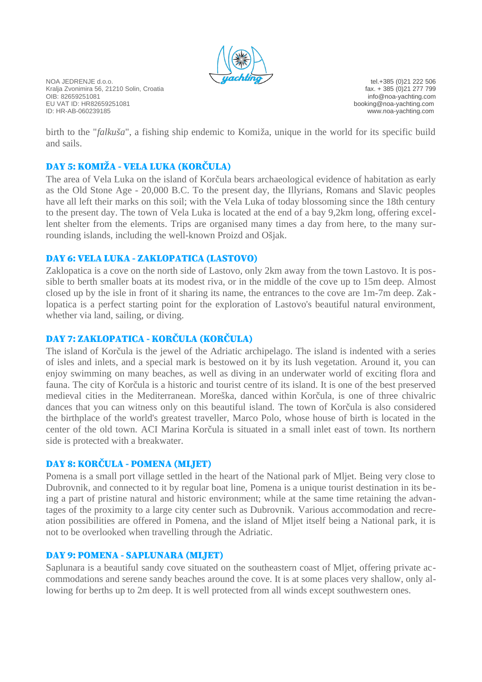

NOA JEDRENJE d.o.o.<br>Kralia Zvonimira 56, 21210 Solin, Croatia entre and the state of the state of the state of the state of the state of the state of the state of the state of the state of the state of the state of the sta Kralja Zvonimira 56, 21210 Solin, Croatia<br>OIB: 82659251081 EU VAT ID: HR82659251081 booking@noa-yachting.com

info@noa-yachting.com www.noa-yachting.com

birth to the "*falkuša*", a fishing ship endemic to Komiža, unique in the world for its specific build and sails.

# DAY 5: KOMIŽA - VELA LUKA (KORČULA)

The area of Vela Luka on the island of Korčula bears archaeological evidence of habitation as early as the Old Stone Age - 20,000 B.C. To the present day, the Illyrians, Romans and Slavic peoples have all left their marks on this soil; with the Vela Luka of today blossoming since the 18th century to the present day. The town of Vela Luka is located at the end of a bay 9,2km long, offering excellent shelter from the elements. Trips are organised many times a day from here, to the many surrounding islands, including the well-known Proizd and Ošjak.

## DAY 6: VELA LUKA - ZAKLOPATICA (LASTOVO)

Zaklopatica is a cove on the north side of Lastovo, only 2km away from the town Lastovo. It is possible to berth smaller boats at its modest riva, or in the middle of the cove up to 15m deep. Almost closed up by the isle in front of it sharing its name, the entrances to the cove are 1m-7m deep. Zaklopatica is a perfect starting point for the exploration of Lastovo's beautiful natural environment, whether via land, sailing, or diving.

## DAY 7: ZAKLOPATICA - KORČULA (KORČULA)

The island of Korčula is the jewel of the Adriatic archipelago. The island is indented with a series of isles and inlets, and a special mark is bestowed on it by its lush vegetation. Around it, you can enjoy swimming on many beaches, as well as diving in an underwater world of exciting flora and fauna. The city of Korčula is a historic and tourist centre of its island. It is one of the best preserved medieval cities in the Mediterranean. Moreška, danced within Korčula, is one of three chivalric dances that you can witness only on this beautiful island. The town of Korčula is also considered the birthplace of the world's greatest traveller, Marco Polo, whose house of birth is located in the center of the old town. ACI Marina Korčula is situated in a small inlet east of town. Its northern side is protected with a breakwater.

# DAY 8: KORČULA - POMENA (MLJET)

Pomena is a small port village settled in the heart of the National park of Mljet. Being very close to Dubrovnik, and connected to it by regular boat line, Pomena is a unique tourist destination in its being a part of pristine natural and historic environment; while at the same time retaining the advantages of the proximity to a large city center such as Dubrovnik. Various accommodation and recreation possibilities are offered in Pomena, and the island of Mljet itself being a National park, it is not to be overlooked when travelling through the Adriatic.

# DAY 9: POMENA - SAPLUNARA (MLJET)

Saplunara is a beautiful sandy cove situated on the southeastern coast of Mljet, offering private accommodations and serene sandy beaches around the cove. It is at some places very shallow, only allowing for berths up to 2m deep. It is well protected from all winds except southwestern ones.